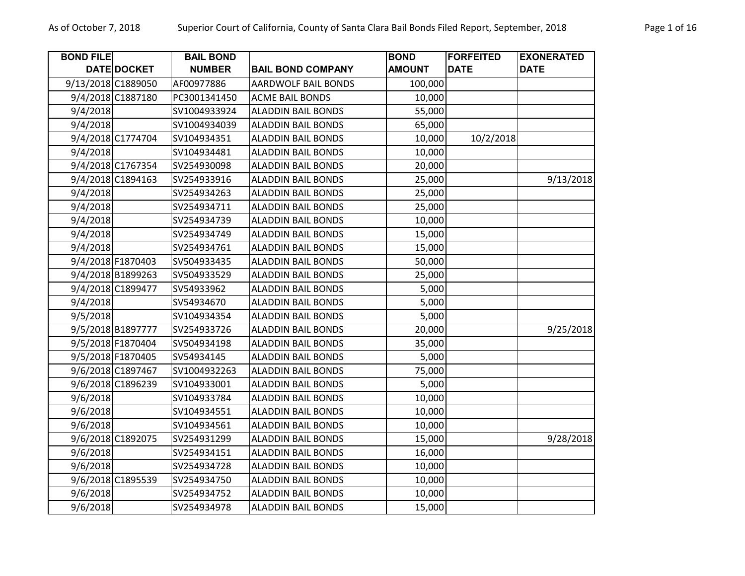| <b>BOND FILE</b>   |                    | <b>BAIL BOND</b> |                            | <b>BOND</b>   | <b>FORFEITED</b> | <b>EXONERATED</b> |
|--------------------|--------------------|------------------|----------------------------|---------------|------------------|-------------------|
|                    | <b>DATE DOCKET</b> | <b>NUMBER</b>    | <b>BAIL BOND COMPANY</b>   | <b>AMOUNT</b> | <b>DATE</b>      | <b>DATE</b>       |
| 9/13/2018 C1889050 |                    | AF00977886       | <b>AARDWOLF BAIL BONDS</b> | 100,000       |                  |                   |
|                    | 9/4/2018 C1887180  | PC3001341450     | <b>ACME BAIL BONDS</b>     | 10,000        |                  |                   |
| 9/4/2018           |                    | SV1004933924     | <b>ALADDIN BAIL BONDS</b>  | 55,000        |                  |                   |
| 9/4/2018           |                    | SV1004934039     | <b>ALADDIN BAIL BONDS</b>  | 65,000        |                  |                   |
|                    | 9/4/2018 C1774704  | SV104934351      | <b>ALADDIN BAIL BONDS</b>  | 10,000        | 10/2/2018        |                   |
| 9/4/2018           |                    | SV104934481      | <b>ALADDIN BAIL BONDS</b>  | 10,000        |                  |                   |
|                    | 9/4/2018 C1767354  | SV254930098      | <b>ALADDIN BAIL BONDS</b>  | 20,000        |                  |                   |
|                    | 9/4/2018 C1894163  | SV254933916      | <b>ALADDIN BAIL BONDS</b>  | 25,000        |                  | 9/13/2018         |
| 9/4/2018           |                    | SV254934263      | <b>ALADDIN BAIL BONDS</b>  | 25,000        |                  |                   |
| 9/4/2018           |                    | SV254934711      | <b>ALADDIN BAIL BONDS</b>  | 25,000        |                  |                   |
| 9/4/2018           |                    | SV254934739      | <b>ALADDIN BAIL BONDS</b>  | 10,000        |                  |                   |
| 9/4/2018           |                    | SV254934749      | <b>ALADDIN BAIL BONDS</b>  | 15,000        |                  |                   |
| 9/4/2018           |                    | SV254934761      | <b>ALADDIN BAIL BONDS</b>  | 15,000        |                  |                   |
|                    | 9/4/2018 F1870403  | SV504933435      | <b>ALADDIN BAIL BONDS</b>  | 50,000        |                  |                   |
|                    | 9/4/2018 B1899263  | SV504933529      | <b>ALADDIN BAIL BONDS</b>  | 25,000        |                  |                   |
|                    | 9/4/2018 C1899477  | SV54933962       | <b>ALADDIN BAIL BONDS</b>  | 5,000         |                  |                   |
| 9/4/2018           |                    | SV54934670       | <b>ALADDIN BAIL BONDS</b>  | 5,000         |                  |                   |
| 9/5/2018           |                    | SV104934354      | <b>ALADDIN BAIL BONDS</b>  | 5,000         |                  |                   |
|                    | 9/5/2018 B1897777  | SV254933726      | <b>ALADDIN BAIL BONDS</b>  | 20,000        |                  | 9/25/2018         |
|                    | 9/5/2018 F1870404  | SV504934198      | <b>ALADDIN BAIL BONDS</b>  | 35,000        |                  |                   |
|                    | 9/5/2018 F1870405  | SV54934145       | <b>ALADDIN BAIL BONDS</b>  | 5,000         |                  |                   |
|                    | 9/6/2018 C1897467  | SV1004932263     | <b>ALADDIN BAIL BONDS</b>  | 75,000        |                  |                   |
|                    | 9/6/2018 C1896239  | SV104933001      | <b>ALADDIN BAIL BONDS</b>  | 5,000         |                  |                   |
| 9/6/2018           |                    | SV104933784      | <b>ALADDIN BAIL BONDS</b>  | 10,000        |                  |                   |
| 9/6/2018           |                    | SV104934551      | <b>ALADDIN BAIL BONDS</b>  | 10,000        |                  |                   |
| 9/6/2018           |                    | SV104934561      | <b>ALADDIN BAIL BONDS</b>  | 10,000        |                  |                   |
|                    | 9/6/2018 C1892075  | SV254931299      | <b>ALADDIN BAIL BONDS</b>  | 15,000        |                  | 9/28/2018         |
| 9/6/2018           |                    | SV254934151      | <b>ALADDIN BAIL BONDS</b>  | 16,000        |                  |                   |
| 9/6/2018           |                    | SV254934728      | <b>ALADDIN BAIL BONDS</b>  | 10,000        |                  |                   |
|                    | 9/6/2018 C1895539  | SV254934750      | <b>ALADDIN BAIL BONDS</b>  | 10,000        |                  |                   |
| 9/6/2018           |                    | SV254934752      | <b>ALADDIN BAIL BONDS</b>  | 10,000        |                  |                   |
| 9/6/2018           |                    | SV254934978      | <b>ALADDIN BAIL BONDS</b>  | 15,000        |                  |                   |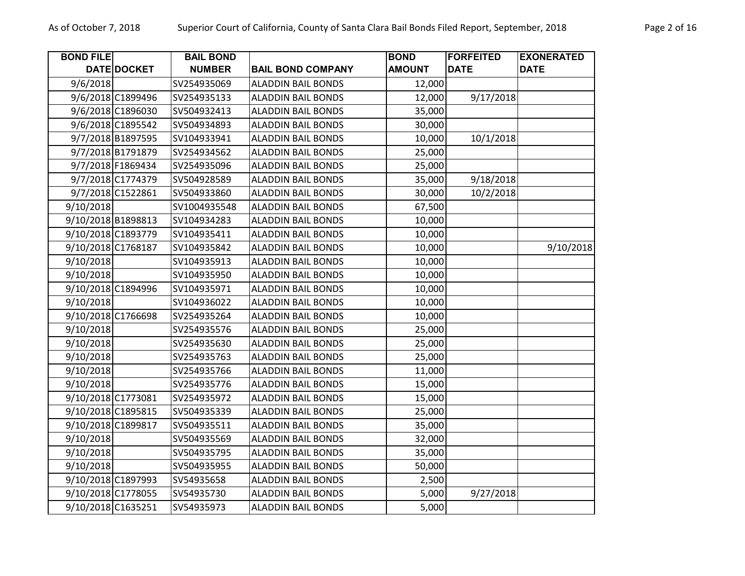| <b>BOND FILE</b>   |                    | <b>BAIL BOND</b> |                           | <b>BOND</b>   | <b>FORFEITED</b> | <b>EXONERATED</b> |
|--------------------|--------------------|------------------|---------------------------|---------------|------------------|-------------------|
|                    | DATE DOCKET        | <b>NUMBER</b>    | <b>BAIL BOND COMPANY</b>  | <b>AMOUNT</b> | <b>DATE</b>      | <b>DATE</b>       |
| 9/6/2018           |                    | SV254935069      | <b>ALADDIN BAIL BONDS</b> | 12,000        |                  |                   |
|                    | 9/6/2018 C1899496  | SV254935133      | <b>ALADDIN BAIL BONDS</b> | 12,000        | 9/17/2018        |                   |
|                    | 9/6/2018 C1896030  | SV504932413      | <b>ALADDIN BAIL BONDS</b> | 35,000        |                  |                   |
|                    | 9/6/2018 C1895542  | SV504934893      | <b>ALADDIN BAIL BONDS</b> | 30,000        |                  |                   |
|                    | 9/7/2018 B1897595  | SV104933941      | <b>ALADDIN BAIL BONDS</b> | 10,000        | 10/1/2018        |                   |
|                    | 9/7/2018 B1791879  | SV254934562      | <b>ALADDIN BAIL BONDS</b> | 25,000        |                  |                   |
|                    | 9/7/2018 F1869434  | SV254935096      | <b>ALADDIN BAIL BONDS</b> | 25,000        |                  |                   |
|                    | 9/7/2018 C1774379  | SV504928589      | <b>ALADDIN BAIL BONDS</b> | 35,000        | 9/18/2018        |                   |
|                    | 9/7/2018 C1522861  | SV504933860      | <b>ALADDIN BAIL BONDS</b> | 30,000        | 10/2/2018        |                   |
| 9/10/2018          |                    | SV1004935548     | <b>ALADDIN BAIL BONDS</b> | 67,500        |                  |                   |
|                    | 9/10/2018 B1898813 | SV104934283      | <b>ALADDIN BAIL BONDS</b> | 10,000        |                  |                   |
| 9/10/2018 C1893779 |                    | SV104935411      | <b>ALADDIN BAIL BONDS</b> | 10,000        |                  |                   |
| 9/10/2018 C1768187 |                    | SV104935842      | <b>ALADDIN BAIL BONDS</b> | 10,000        |                  | 9/10/2018         |
| 9/10/2018          |                    | SV104935913      | <b>ALADDIN BAIL BONDS</b> | 10,000        |                  |                   |
| 9/10/2018          |                    | SV104935950      | <b>ALADDIN BAIL BONDS</b> | 10,000        |                  |                   |
|                    | 9/10/2018 C1894996 | SV104935971      | <b>ALADDIN BAIL BONDS</b> | 10,000        |                  |                   |
| 9/10/2018          |                    | SV104936022      | <b>ALADDIN BAIL BONDS</b> | 10,000        |                  |                   |
| 9/10/2018 C1766698 |                    | SV254935264      | <b>ALADDIN BAIL BONDS</b> | 10,000        |                  |                   |
| 9/10/2018          |                    | SV254935576      | <b>ALADDIN BAIL BONDS</b> | 25,000        |                  |                   |
| 9/10/2018          |                    | SV254935630      | <b>ALADDIN BAIL BONDS</b> | 25,000        |                  |                   |
| 9/10/2018          |                    | SV254935763      | <b>ALADDIN BAIL BONDS</b> | 25,000        |                  |                   |
| 9/10/2018          |                    | SV254935766      | <b>ALADDIN BAIL BONDS</b> | 11,000        |                  |                   |
| 9/10/2018          |                    | SV254935776      | <b>ALADDIN BAIL BONDS</b> | 15,000        |                  |                   |
| 9/10/2018 C1773081 |                    | SV254935972      | <b>ALADDIN BAIL BONDS</b> | 15,000        |                  |                   |
|                    | 9/10/2018 C1895815 | SV504935339      | <b>ALADDIN BAIL BONDS</b> | 25,000        |                  |                   |
|                    | 9/10/2018 C1899817 | SV504935511      | <b>ALADDIN BAIL BONDS</b> | 35,000        |                  |                   |
| 9/10/2018          |                    | SV504935569      | <b>ALADDIN BAIL BONDS</b> | 32,000        |                  |                   |
| 9/10/2018          |                    | SV504935795      | <b>ALADDIN BAIL BONDS</b> | 35,000        |                  |                   |
| 9/10/2018          |                    | SV504935955      | <b>ALADDIN BAIL BONDS</b> | 50,000        |                  |                   |
| 9/10/2018 C1897993 |                    | SV54935658       | <b>ALADDIN BAIL BONDS</b> | 2,500         |                  |                   |
|                    | 9/10/2018 C1778055 | SV54935730       | <b>ALADDIN BAIL BONDS</b> | 5,000         | 9/27/2018        |                   |
| 9/10/2018 C1635251 |                    | SV54935973       | <b>ALADDIN BAIL BONDS</b> | 5,000         |                  |                   |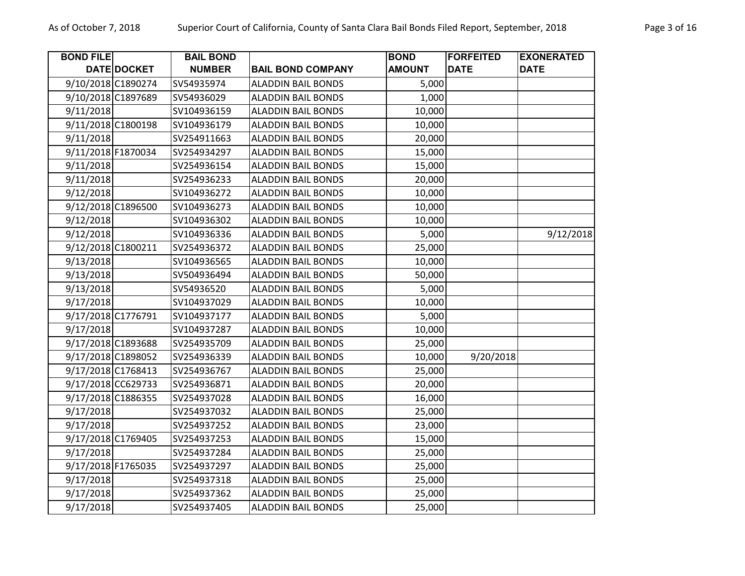| <b>BOND FILE</b>                         | DATE DOCKET | <b>BAIL BOND</b><br><b>NUMBER</b> | <b>BAIL BOND COMPANY</b>                               | <b>BOND</b><br><b>AMOUNT</b> | <b>FORFEITED</b><br><b>DATE</b> | <b>EXONERATED</b><br><b>DATE</b> |
|------------------------------------------|-------------|-----------------------------------|--------------------------------------------------------|------------------------------|---------------------------------|----------------------------------|
| 9/10/2018 C1890274                       |             | SV54935974                        | <b>ALADDIN BAIL BONDS</b>                              | 5,000                        |                                 |                                  |
| 9/10/2018 C1897689                       |             | SV54936029                        | <b>ALADDIN BAIL BONDS</b>                              | 1,000                        |                                 |                                  |
| 9/11/2018                                |             | SV104936159                       | <b>ALADDIN BAIL BONDS</b>                              | 10,000                       |                                 |                                  |
| 9/11/2018 C1800198                       |             | SV104936179                       | <b>ALADDIN BAIL BONDS</b>                              | 10,000                       |                                 |                                  |
| 9/11/2018                                |             | SV254911663                       | <b>ALADDIN BAIL BONDS</b>                              | 20,000                       |                                 |                                  |
| 9/11/2018 F1870034                       |             | SV254934297                       | <b>ALADDIN BAIL BONDS</b>                              | 15,000                       |                                 |                                  |
| 9/11/2018                                |             | SV254936154                       | <b>ALADDIN BAIL BONDS</b>                              | 15,000                       |                                 |                                  |
| 9/11/2018                                |             | SV254936233                       | <b>ALADDIN BAIL BONDS</b>                              | 20,000                       |                                 |                                  |
| 9/12/2018                                |             | SV104936272                       | <b>ALADDIN BAIL BONDS</b>                              | 10,000                       |                                 |                                  |
| 9/12/2018 C1896500                       |             | SV104936273                       | <b>ALADDIN BAIL BONDS</b>                              | 10,000                       |                                 |                                  |
|                                          |             | SV104936302                       | <b>ALADDIN BAIL BONDS</b>                              | 10,000                       |                                 |                                  |
| 9/12/2018<br>9/12/2018                   |             | SV104936336                       | <b>ALADDIN BAIL BONDS</b>                              | 5,000                        |                                 | 9/12/2018                        |
| 9/12/2018 C1800211                       |             | SV254936372                       | <b>ALADDIN BAIL BONDS</b>                              | 25,000                       |                                 |                                  |
|                                          |             | SV104936565                       | <b>ALADDIN BAIL BONDS</b>                              |                              |                                 |                                  |
| 9/13/2018<br>9/13/2018                   |             | SV504936494                       | <b>ALADDIN BAIL BONDS</b>                              | 10,000<br>50,000             |                                 |                                  |
| 9/13/2018                                |             | SV54936520                        | <b>ALADDIN BAIL BONDS</b>                              | 5,000                        |                                 |                                  |
| 9/17/2018                                |             | SV104937029                       | <b>ALADDIN BAIL BONDS</b>                              | 10,000                       |                                 |                                  |
| 9/17/2018 C1776791                       |             | SV104937177                       | <b>ALADDIN BAIL BONDS</b>                              | 5,000                        |                                 |                                  |
| 9/17/2018                                |             | SV104937287                       | <b>ALADDIN BAIL BONDS</b>                              | 10,000                       |                                 |                                  |
| 9/17/2018 C1893688                       |             | SV254935709                       | <b>ALADDIN BAIL BONDS</b>                              | 25,000                       |                                 |                                  |
| 9/17/2018 C1898052                       |             |                                   |                                                        |                              | 9/20/2018                       |                                  |
|                                          |             | SV254936339                       | <b>ALADDIN BAIL BONDS</b>                              | 10,000<br>25,000             |                                 |                                  |
| 9/17/2018 C1768413<br>9/17/2018 CC629733 |             | SV254936767<br>SV254936871        | <b>ALADDIN BAIL BONDS</b><br><b>ALADDIN BAIL BONDS</b> |                              |                                 |                                  |
| 9/17/2018 C1886355                       |             | SV254937028                       | <b>ALADDIN BAIL BONDS</b>                              | 20,000<br>16,000             |                                 |                                  |
| 9/17/2018                                |             | SV254937032                       | <b>ALADDIN BAIL BONDS</b>                              | 25,000                       |                                 |                                  |
| 9/17/2018                                |             | SV254937252                       | <b>ALADDIN BAIL BONDS</b>                              | 23,000                       |                                 |                                  |
| 9/17/2018 C1769405                       |             |                                   | <b>ALADDIN BAIL BONDS</b>                              |                              |                                 |                                  |
| 9/17/2018                                |             | SV254937253<br>SV254937284        | <b>ALADDIN BAIL BONDS</b>                              | 15,000<br>25,000             |                                 |                                  |
| 9/17/2018 F1765035                       |             |                                   |                                                        |                              |                                 |                                  |
| 9/17/2018                                |             | SV254937297<br>SV254937318        | <b>ALADDIN BAIL BONDS</b><br><b>ALADDIN BAIL BONDS</b> | 25,000<br>25,000             |                                 |                                  |
|                                          |             | SV254937362                       | <b>ALADDIN BAIL BONDS</b>                              | 25,000                       |                                 |                                  |
| 9/17/2018                                |             |                                   |                                                        | 25,000                       |                                 |                                  |
| 9/17/2018                                |             | SV254937405                       | <b>ALADDIN BAIL BONDS</b>                              |                              |                                 |                                  |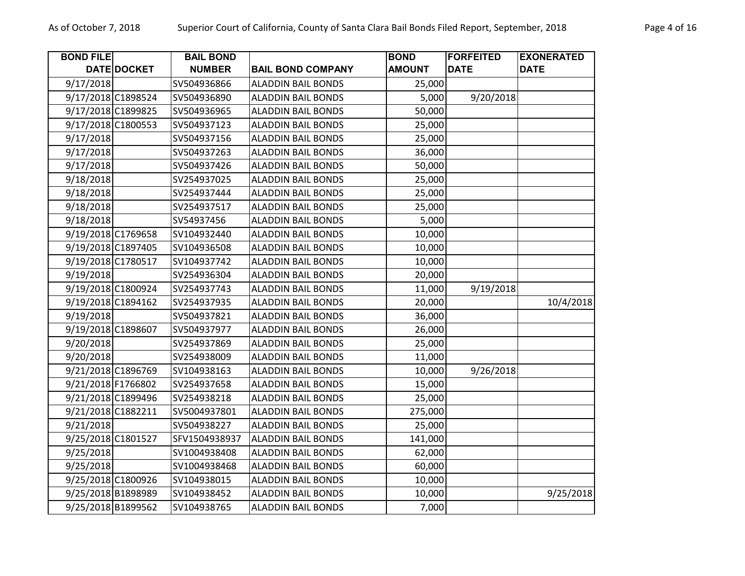| <b>BOND FILE</b>   |                    | <b>BAIL BOND</b> |                           | <b>BOND</b>   | <b>FORFEITED</b> | <b>EXONERATED</b> |
|--------------------|--------------------|------------------|---------------------------|---------------|------------------|-------------------|
|                    | <b>DATE DOCKET</b> | <b>NUMBER</b>    | <b>BAIL BOND COMPANY</b>  | <b>AMOUNT</b> | <b>DATE</b>      | <b>DATE</b>       |
| 9/17/2018          |                    | SV504936866      | <b>ALADDIN BAIL BONDS</b> | 25,000        |                  |                   |
| 9/17/2018 C1898524 |                    | SV504936890      | <b>ALADDIN BAIL BONDS</b> | 5,000         | 9/20/2018        |                   |
| 9/17/2018 C1899825 |                    | SV504936965      | <b>ALADDIN BAIL BONDS</b> | 50,000        |                  |                   |
| 9/17/2018 C1800553 |                    | SV504937123      | <b>ALADDIN BAIL BONDS</b> | 25,000        |                  |                   |
| 9/17/2018          |                    | SV504937156      | <b>ALADDIN BAIL BONDS</b> | 25,000        |                  |                   |
| 9/17/2018          |                    | SV504937263      | <b>ALADDIN BAIL BONDS</b> | 36,000        |                  |                   |
| 9/17/2018          |                    | SV504937426      | <b>ALADDIN BAIL BONDS</b> | 50,000        |                  |                   |
| 9/18/2018          |                    | SV254937025      | <b>ALADDIN BAIL BONDS</b> | 25,000        |                  |                   |
| 9/18/2018          |                    | SV254937444      | <b>ALADDIN BAIL BONDS</b> | 25,000        |                  |                   |
| 9/18/2018          |                    | SV254937517      | <b>ALADDIN BAIL BONDS</b> | 25,000        |                  |                   |
| 9/18/2018          |                    | SV54937456       | <b>ALADDIN BAIL BONDS</b> | 5,000         |                  |                   |
| 9/19/2018 C1769658 |                    | SV104932440      | <b>ALADDIN BAIL BONDS</b> | 10,000        |                  |                   |
| 9/19/2018 C1897405 |                    | SV104936508      | <b>ALADDIN BAIL BONDS</b> | 10,000        |                  |                   |
| 9/19/2018 C1780517 |                    | SV104937742      | <b>ALADDIN BAIL BONDS</b> | 10,000        |                  |                   |
| 9/19/2018          |                    | SV254936304      | <b>ALADDIN BAIL BONDS</b> | 20,000        |                  |                   |
| 9/19/2018 C1800924 |                    | SV254937743      | <b>ALADDIN BAIL BONDS</b> | 11,000        | 9/19/2018        |                   |
| 9/19/2018 C1894162 |                    | SV254937935      | <b>ALADDIN BAIL BONDS</b> | 20,000        |                  | 10/4/2018         |
| 9/19/2018          |                    | SV504937821      | <b>ALADDIN BAIL BONDS</b> | 36,000        |                  |                   |
| 9/19/2018 C1898607 |                    | SV504937977      | <b>ALADDIN BAIL BONDS</b> | 26,000        |                  |                   |
| 9/20/2018          |                    | SV254937869      | <b>ALADDIN BAIL BONDS</b> | 25,000        |                  |                   |
| 9/20/2018          |                    | SV254938009      | <b>ALADDIN BAIL BONDS</b> | 11,000        |                  |                   |
| 9/21/2018 C1896769 |                    | SV104938163      | <b>ALADDIN BAIL BONDS</b> | 10,000        | 9/26/2018        |                   |
| 9/21/2018 F1766802 |                    | SV254937658      | <b>ALADDIN BAIL BONDS</b> | 15,000        |                  |                   |
| 9/21/2018 C1899496 |                    | SV254938218      | <b>ALADDIN BAIL BONDS</b> | 25,000        |                  |                   |
| 9/21/2018 C1882211 |                    | SV5004937801     | <b>ALADDIN BAIL BONDS</b> | 275,000       |                  |                   |
| 9/21/2018          |                    | SV504938227      | <b>ALADDIN BAIL BONDS</b> | 25,000        |                  |                   |
| 9/25/2018 C1801527 |                    | SFV1504938937    | <b>ALADDIN BAIL BONDS</b> | 141,000       |                  |                   |
| 9/25/2018          |                    | SV1004938408     | <b>ALADDIN BAIL BONDS</b> | 62,000        |                  |                   |
| 9/25/2018          |                    | SV1004938468     | <b>ALADDIN BAIL BONDS</b> | 60,000        |                  |                   |
| 9/25/2018 C1800926 |                    | SV104938015      | <b>ALADDIN BAIL BONDS</b> | 10,000        |                  |                   |
| 9/25/2018 B1898989 |                    | SV104938452      | <b>ALADDIN BAIL BONDS</b> | 10,000        |                  | 9/25/2018         |
| 9/25/2018 B1899562 |                    | SV104938765      | <b>ALADDIN BAIL BONDS</b> | 7,000         |                  |                   |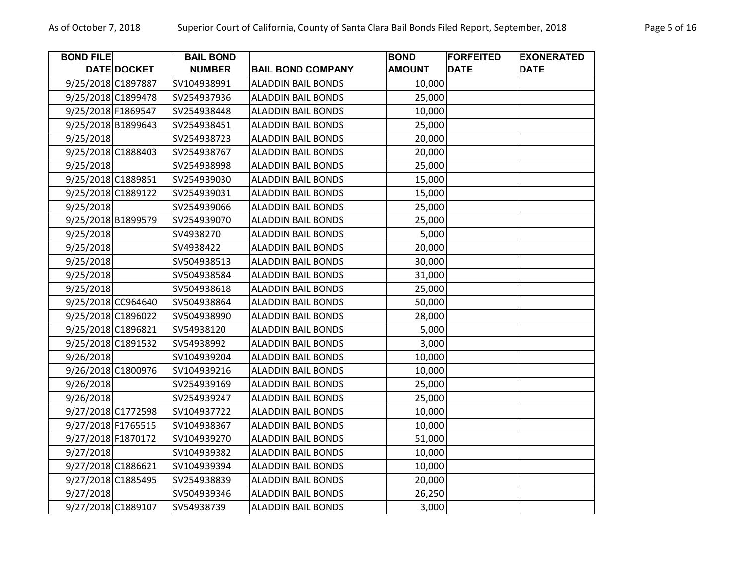| <b>BOND FILE</b>   |                    | <b>BAIL BOND</b> |                           | <b>BOND</b>   | <b>FORFEITED</b> | <b>EXONERATED</b> |
|--------------------|--------------------|------------------|---------------------------|---------------|------------------|-------------------|
|                    | <b>DATE DOCKET</b> | <b>NUMBER</b>    | <b>BAIL BOND COMPANY</b>  | <b>AMOUNT</b> | <b>DATE</b>      | <b>DATE</b>       |
| 9/25/2018 C1897887 |                    | SV104938991      | <b>ALADDIN BAIL BONDS</b> | 10,000        |                  |                   |
| 9/25/2018 C1899478 |                    | SV254937936      | <b>ALADDIN BAIL BONDS</b> | 25,000        |                  |                   |
| 9/25/2018 F1869547 |                    | SV254938448      | <b>ALADDIN BAIL BONDS</b> | 10,000        |                  |                   |
| 9/25/2018 B1899643 |                    | SV254938451      | <b>ALADDIN BAIL BONDS</b> | 25,000        |                  |                   |
| 9/25/2018          |                    | SV254938723      | <b>ALADDIN BAIL BONDS</b> | 20,000        |                  |                   |
| 9/25/2018 C1888403 |                    | SV254938767      | <b>ALADDIN BAIL BONDS</b> | 20,000        |                  |                   |
| 9/25/2018          |                    | SV254938998      | <b>ALADDIN BAIL BONDS</b> | 25,000        |                  |                   |
| 9/25/2018 C1889851 |                    | SV254939030      | <b>ALADDIN BAIL BONDS</b> | 15,000        |                  |                   |
| 9/25/2018 C1889122 |                    | SV254939031      | <b>ALADDIN BAIL BONDS</b> | 15,000        |                  |                   |
| 9/25/2018          |                    | SV254939066      | <b>ALADDIN BAIL BONDS</b> | 25,000        |                  |                   |
| 9/25/2018 B1899579 |                    | SV254939070      | <b>ALADDIN BAIL BONDS</b> | 25,000        |                  |                   |
| 9/25/2018          |                    | SV4938270        | <b>ALADDIN BAIL BONDS</b> | 5,000         |                  |                   |
| 9/25/2018          |                    | SV4938422        | <b>ALADDIN BAIL BONDS</b> | 20,000        |                  |                   |
| 9/25/2018          |                    | SV504938513      | <b>ALADDIN BAIL BONDS</b> | 30,000        |                  |                   |
| 9/25/2018          |                    | SV504938584      | <b>ALADDIN BAIL BONDS</b> | 31,000        |                  |                   |
| 9/25/2018          |                    | SV504938618      | <b>ALADDIN BAIL BONDS</b> | 25,000        |                  |                   |
| 9/25/2018 CC964640 |                    | SV504938864      | <b>ALADDIN BAIL BONDS</b> | 50,000        |                  |                   |
| 9/25/2018 C1896022 |                    | SV504938990      | <b>ALADDIN BAIL BONDS</b> | 28,000        |                  |                   |
| 9/25/2018 C1896821 |                    | SV54938120       | <b>ALADDIN BAIL BONDS</b> | 5,000         |                  |                   |
| 9/25/2018 C1891532 |                    | SV54938992       | <b>ALADDIN BAIL BONDS</b> | 3,000         |                  |                   |
| 9/26/2018          |                    | SV104939204      | <b>ALADDIN BAIL BONDS</b> | 10,000        |                  |                   |
| 9/26/2018 C1800976 |                    | SV104939216      | <b>ALADDIN BAIL BONDS</b> | 10,000        |                  |                   |
| 9/26/2018          |                    | SV254939169      | <b>ALADDIN BAIL BONDS</b> | 25,000        |                  |                   |
| 9/26/2018          |                    | SV254939247      | <b>ALADDIN BAIL BONDS</b> | 25,000        |                  |                   |
| 9/27/2018 C1772598 |                    | SV104937722      | <b>ALADDIN BAIL BONDS</b> | 10,000        |                  |                   |
| 9/27/2018 F1765515 |                    | SV104938367      | <b>ALADDIN BAIL BONDS</b> | 10,000        |                  |                   |
| 9/27/2018 F1870172 |                    | SV104939270      | <b>ALADDIN BAIL BONDS</b> | 51,000        |                  |                   |
| 9/27/2018          |                    | SV104939382      | <b>ALADDIN BAIL BONDS</b> | 10,000        |                  |                   |
| 9/27/2018 C1886621 |                    | SV104939394      | <b>ALADDIN BAIL BONDS</b> | 10,000        |                  |                   |
| 9/27/2018 C1885495 |                    | SV254938839      | <b>ALADDIN BAIL BONDS</b> | 20,000        |                  |                   |
| 9/27/2018          |                    | SV504939346      | <b>ALADDIN BAIL BONDS</b> | 26,250        |                  |                   |
| 9/27/2018 C1889107 |                    | SV54938739       | <b>ALADDIN BAIL BONDS</b> | 3,000         |                  |                   |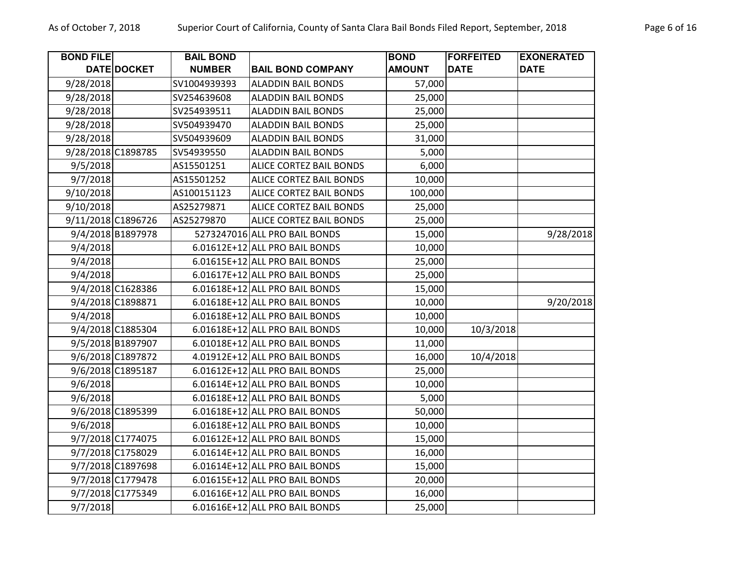| <b>BOND FILE</b>   | DATE DOCKET       | <b>BAIL BOND</b><br><b>NUMBER</b> | <b>BAIL BOND COMPANY</b>       | <b>BOND</b><br><b>AMOUNT</b> | <b>FORFEITED</b><br><b>DATE</b> | <b>EXONERATED</b><br><b>DATE</b> |
|--------------------|-------------------|-----------------------------------|--------------------------------|------------------------------|---------------------------------|----------------------------------|
| 9/28/2018          |                   | SV1004939393                      | <b>ALADDIN BAIL BONDS</b>      | 57,000                       |                                 |                                  |
| 9/28/2018          |                   | SV254639608                       | <b>ALADDIN BAIL BONDS</b>      | 25,000                       |                                 |                                  |
| 9/28/2018          |                   | SV254939511                       | <b>ALADDIN BAIL BONDS</b>      | 25,000                       |                                 |                                  |
| 9/28/2018          |                   | SV504939470                       | <b>ALADDIN BAIL BONDS</b>      | 25,000                       |                                 |                                  |
| 9/28/2018          |                   | SV504939609                       | <b>ALADDIN BAIL BONDS</b>      | 31,000                       |                                 |                                  |
| 9/28/2018 C1898785 |                   | SV54939550                        | <b>ALADDIN BAIL BONDS</b>      | 5,000                        |                                 |                                  |
| 9/5/2018           |                   | AS15501251                        | <b>ALICE CORTEZ BAIL BONDS</b> | 6,000                        |                                 |                                  |
| 9/7/2018           |                   | AS15501252                        | ALICE CORTEZ BAIL BONDS        | 10,000                       |                                 |                                  |
| 9/10/2018          |                   | AS100151123                       | ALICE CORTEZ BAIL BONDS        | 100,000                      |                                 |                                  |
| 9/10/2018          |                   | AS25279871                        | <b>ALICE CORTEZ BAIL BONDS</b> | 25,000                       |                                 |                                  |
| 9/11/2018 C1896726 |                   | AS25279870                        | <b>ALICE CORTEZ BAIL BONDS</b> | 25,000                       |                                 |                                  |
|                    | 9/4/2018 B1897978 |                                   | 5273247016 ALL PRO BAIL BONDS  | 15,000                       |                                 | 9/28/2018                        |
| 9/4/2018           |                   |                                   | 6.01612E+12 ALL PRO BAIL BONDS | 10,000                       |                                 |                                  |
| 9/4/2018           |                   |                                   | 6.01615E+12 ALL PRO BAIL BONDS | 25,000                       |                                 |                                  |
| 9/4/2018           |                   |                                   | 6.01617E+12 ALL PRO BAIL BONDS | 25,000                       |                                 |                                  |
|                    | 9/4/2018 C1628386 |                                   | 6.01618E+12 ALL PRO BAIL BONDS | 15,000                       |                                 |                                  |
|                    | 9/4/2018 C1898871 |                                   | 6.01618E+12 ALL PRO BAIL BONDS | 10,000                       |                                 | 9/20/2018                        |
| 9/4/2018           |                   |                                   | 6.01618E+12 ALL PRO BAIL BONDS | 10,000                       |                                 |                                  |
|                    | 9/4/2018 C1885304 |                                   | 6.01618E+12 ALL PRO BAIL BONDS | 10,000                       | 10/3/2018                       |                                  |
|                    | 9/5/2018 B1897907 |                                   | 6.01018E+12 ALL PRO BAIL BONDS | 11,000                       |                                 |                                  |
|                    | 9/6/2018 C1897872 |                                   | 4.01912E+12 ALL PRO BAIL BONDS | 16,000                       | 10/4/2018                       |                                  |
|                    | 9/6/2018 C1895187 |                                   | 6.01612E+12 ALL PRO BAIL BONDS | 25,000                       |                                 |                                  |
| 9/6/2018           |                   |                                   | 6.01614E+12 ALL PRO BAIL BONDS | 10,000                       |                                 |                                  |
| 9/6/2018           |                   |                                   | 6.01618E+12 ALL PRO BAIL BONDS | 5,000                        |                                 |                                  |
|                    | 9/6/2018 C1895399 |                                   | 6.01618E+12 ALL PRO BAIL BONDS | 50,000                       |                                 |                                  |
| 9/6/2018           |                   |                                   | 6.01618E+12 ALL PRO BAIL BONDS | 10,000                       |                                 |                                  |
|                    | 9/7/2018 C1774075 |                                   | 6.01612E+12 ALL PRO BAIL BONDS | 15,000                       |                                 |                                  |
|                    | 9/7/2018 C1758029 |                                   | 6.01614E+12 ALL PRO BAIL BONDS | 16,000                       |                                 |                                  |
|                    | 9/7/2018 C1897698 |                                   | 6.01614E+12 ALL PRO BAIL BONDS | 15,000                       |                                 |                                  |
|                    | 9/7/2018 C1779478 |                                   | 6.01615E+12 ALL PRO BAIL BONDS | 20,000                       |                                 |                                  |
|                    | 9/7/2018 C1775349 |                                   | 6.01616E+12 ALL PRO BAIL BONDS | 16,000                       |                                 |                                  |
| 9/7/2018           |                   |                                   | 6.01616E+12 ALL PRO BAIL BONDS | 25,000                       |                                 |                                  |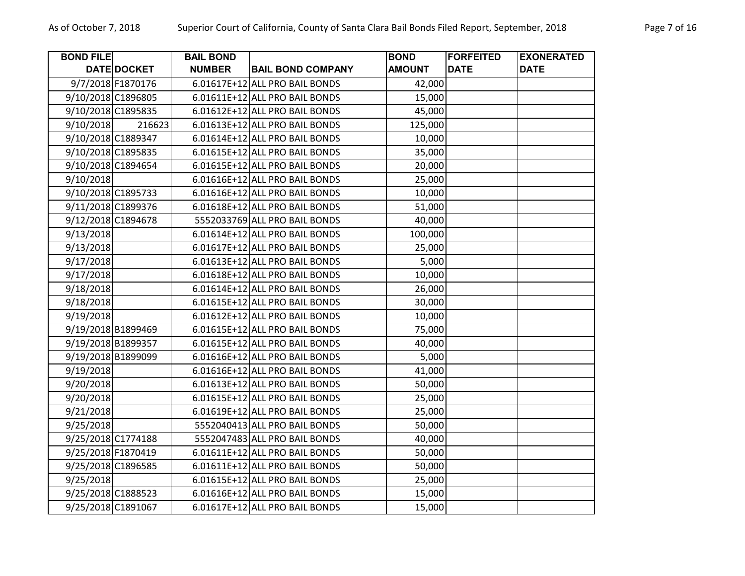| <b>BOND FILE</b>   |                   | <b>BAIL BOND</b> |                                | <b>BOND</b>   | <b>FORFEITED</b> | <b>EXONERATED</b> |
|--------------------|-------------------|------------------|--------------------------------|---------------|------------------|-------------------|
|                    | DATE DOCKET       | <b>NUMBER</b>    | <b>BAIL BOND COMPANY</b>       | <b>AMOUNT</b> | <b>DATE</b>      | <b>DATE</b>       |
|                    | 9/7/2018 F1870176 |                  | 6.01617E+12 ALL PRO BAIL BONDS | 42,000        |                  |                   |
| 9/10/2018 C1896805 |                   |                  | 6.01611E+12 ALL PRO BAIL BONDS | 15,000        |                  |                   |
| 9/10/2018 C1895835 |                   |                  | 6.01612E+12 ALL PRO BAIL BONDS | 45,000        |                  |                   |
| 9/10/2018          | 216623            |                  | 6.01613E+12 ALL PRO BAIL BONDS | 125,000       |                  |                   |
| 9/10/2018 C1889347 |                   |                  | 6.01614E+12 ALL PRO BAIL BONDS | 10,000        |                  |                   |
| 9/10/2018 C1895835 |                   |                  | 6.01615E+12 ALL PRO BAIL BONDS | 35,000        |                  |                   |
| 9/10/2018 C1894654 |                   |                  | 6.01615E+12 ALL PRO BAIL BONDS | 20,000        |                  |                   |
| 9/10/2018          |                   |                  | 6.01616E+12 ALL PRO BAIL BONDS | 25,000        |                  |                   |
| 9/10/2018 C1895733 |                   |                  | 6.01616E+12 ALL PRO BAIL BONDS | 10,000        |                  |                   |
| 9/11/2018 C1899376 |                   |                  | 6.01618E+12 ALL PRO BAIL BONDS | 51,000        |                  |                   |
| 9/12/2018 C1894678 |                   |                  | 5552033769 ALL PRO BAIL BONDS  | 40,000        |                  |                   |
| 9/13/2018          |                   |                  | 6.01614E+12 ALL PRO BAIL BONDS | 100,000       |                  |                   |
| 9/13/2018          |                   |                  | 6.01617E+12 ALL PRO BAIL BONDS | 25,000        |                  |                   |
| 9/17/2018          |                   |                  | 6.01613E+12 ALL PRO BAIL BONDS | 5,000         |                  |                   |
| 9/17/2018          |                   |                  | 6.01618E+12 ALL PRO BAIL BONDS | 10,000        |                  |                   |
| 9/18/2018          |                   |                  | 6.01614E+12 ALL PRO BAIL BONDS | 26,000        |                  |                   |
| 9/18/2018          |                   |                  | 6.01615E+12 ALL PRO BAIL BONDS | 30,000        |                  |                   |
| 9/19/2018          |                   |                  | 6.01612E+12 ALL PRO BAIL BONDS | 10,000        |                  |                   |
| 9/19/2018 B1899469 |                   |                  | 6.01615E+12 ALL PRO BAIL BONDS | 75,000        |                  |                   |
| 9/19/2018 B1899357 |                   |                  | 6.01615E+12 ALL PRO BAIL BONDS | 40,000        |                  |                   |
| 9/19/2018 B1899099 |                   |                  | 6.01616E+12 ALL PRO BAIL BONDS | 5,000         |                  |                   |
| 9/19/2018          |                   |                  | 6.01616E+12 ALL PRO BAIL BONDS | 41,000        |                  |                   |
| 9/20/2018          |                   |                  | 6.01613E+12 ALL PRO BAIL BONDS | 50,000        |                  |                   |
| 9/20/2018          |                   |                  | 6.01615E+12 ALL PRO BAIL BONDS | 25,000        |                  |                   |
| 9/21/2018          |                   |                  | 6.01619E+12 ALL PRO BAIL BONDS | 25,000        |                  |                   |
| 9/25/2018          |                   |                  | 5552040413 ALL PRO BAIL BONDS  | 50,000        |                  |                   |
| 9/25/2018 C1774188 |                   |                  | 5552047483 ALL PRO BAIL BONDS  | 40,000        |                  |                   |
| 9/25/2018 F1870419 |                   |                  | 6.01611E+12 ALL PRO BAIL BONDS | 50,000        |                  |                   |
| 9/25/2018 C1896585 |                   |                  | 6.01611E+12 ALL PRO BAIL BONDS | 50,000        |                  |                   |
| 9/25/2018          |                   |                  | 6.01615E+12 ALL PRO BAIL BONDS | 25,000        |                  |                   |
| 9/25/2018 C1888523 |                   |                  | 6.01616E+12 ALL PRO BAIL BONDS | 15,000        |                  |                   |
| 9/25/2018 C1891067 |                   |                  | 6.01617E+12 ALL PRO BAIL BONDS | 15,000        |                  |                   |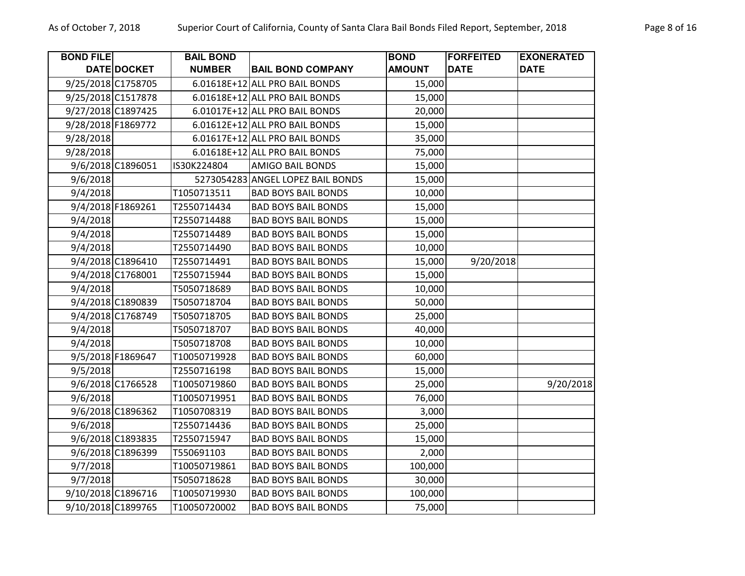| <b>BOND FILE</b>   |                    | <b>BAIL BOND</b> |                                   | <b>BOND</b>   | <b>FORFEITED</b> | <b>EXONERATED</b> |
|--------------------|--------------------|------------------|-----------------------------------|---------------|------------------|-------------------|
|                    | DATE DOCKET        | <b>NUMBER</b>    | <b>BAIL BOND COMPANY</b>          | <b>AMOUNT</b> | <b>DATE</b>      | <b>DATE</b>       |
| 9/25/2018 C1758705 |                    |                  | 6.01618E+12 ALL PRO BAIL BONDS    | 15,000        |                  |                   |
| 9/25/2018 C1517878 |                    |                  | 6.01618E+12 ALL PRO BAIL BONDS    | 15,000        |                  |                   |
| 9/27/2018 C1897425 |                    |                  | 6.01017E+12 ALL PRO BAIL BONDS    | 20,000        |                  |                   |
| 9/28/2018 F1869772 |                    |                  | 6.01612E+12 ALL PRO BAIL BONDS    | 15,000        |                  |                   |
| 9/28/2018          |                    |                  | 6.01617E+12 ALL PRO BAIL BONDS    | 35,000        |                  |                   |
| 9/28/2018          |                    |                  | 6.01618E+12 ALL PRO BAIL BONDS    | 75,000        |                  |                   |
|                    | 9/6/2018 C1896051  | IS30K224804      | <b>AMIGO BAIL BONDS</b>           | 15,000        |                  |                   |
| 9/6/2018           |                    |                  | 5273054283 ANGEL LOPEZ BAIL BONDS | 15,000        |                  |                   |
| 9/4/2018           |                    | T1050713511      | <b>BAD BOYS BAIL BONDS</b>        | 10,000        |                  |                   |
|                    | 9/4/2018 F1869261  | T2550714434      | <b>BAD BOYS BAIL BONDS</b>        | 15,000        |                  |                   |
| 9/4/2018           |                    | T2550714488      | <b>BAD BOYS BAIL BONDS</b>        | 15,000        |                  |                   |
| 9/4/2018           |                    | T2550714489      | <b>BAD BOYS BAIL BONDS</b>        | 15,000        |                  |                   |
| 9/4/2018           |                    | T2550714490      | <b>BAD BOYS BAIL BONDS</b>        | 10,000        |                  |                   |
|                    | 9/4/2018 C1896410  | T2550714491      | <b>BAD BOYS BAIL BONDS</b>        | 15,000        | 9/20/2018        |                   |
|                    | 9/4/2018 C1768001  | T2550715944      | <b>BAD BOYS BAIL BONDS</b>        | 15,000        |                  |                   |
| 9/4/2018           |                    | T5050718689      | <b>BAD BOYS BAIL BONDS</b>        | 10,000        |                  |                   |
|                    | 9/4/2018 C1890839  | T5050718704      | <b>BAD BOYS BAIL BONDS</b>        | 50,000        |                  |                   |
|                    | 9/4/2018 C1768749  | T5050718705      | <b>BAD BOYS BAIL BONDS</b>        | 25,000        |                  |                   |
| 9/4/2018           |                    | T5050718707      | <b>BAD BOYS BAIL BONDS</b>        | 40,000        |                  |                   |
| 9/4/2018           |                    | T5050718708      | <b>BAD BOYS BAIL BONDS</b>        | 10,000        |                  |                   |
|                    | 9/5/2018 F1869647  | T10050719928     | <b>BAD BOYS BAIL BONDS</b>        | 60,000        |                  |                   |
| 9/5/2018           |                    | T2550716198      | <b>BAD BOYS BAIL BONDS</b>        | 15,000        |                  |                   |
|                    | 9/6/2018 C1766528  | T10050719860     | <b>BAD BOYS BAIL BONDS</b>        | 25,000        |                  | 9/20/2018         |
| 9/6/2018           |                    | T10050719951     | <b>BAD BOYS BAIL BONDS</b>        | 76,000        |                  |                   |
|                    | 9/6/2018 C1896362  | T1050708319      | <b>BAD BOYS BAIL BONDS</b>        | 3,000         |                  |                   |
| 9/6/2018           |                    | T2550714436      | <b>BAD BOYS BAIL BONDS</b>        | 25,000        |                  |                   |
|                    | 9/6/2018 C1893835  | T2550715947      | <b>BAD BOYS BAIL BONDS</b>        | 15,000        |                  |                   |
|                    | 9/6/2018 C1896399  | T550691103       | <b>BAD BOYS BAIL BONDS</b>        | 2,000         |                  |                   |
| 9/7/2018           |                    | T10050719861     | <b>BAD BOYS BAIL BONDS</b>        | 100,000       |                  |                   |
| 9/7/2018           |                    | T5050718628      | <b>BAD BOYS BAIL BONDS</b>        | 30,000        |                  |                   |
|                    | 9/10/2018 C1896716 | T10050719930     | <b>BAD BOYS BAIL BONDS</b>        | 100,000       |                  |                   |
| 9/10/2018 C1899765 |                    | T10050720002     | <b>BAD BOYS BAIL BONDS</b>        | 75,000        |                  |                   |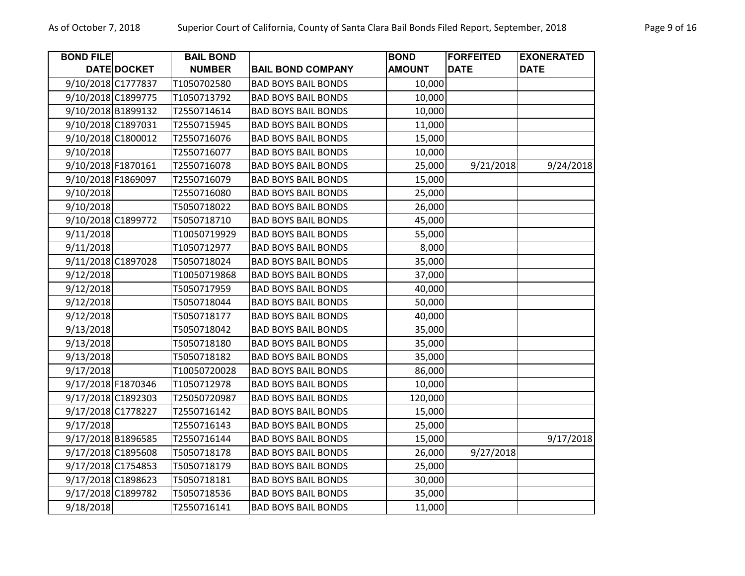| <b>BOND FILE</b>   |             | <b>BAIL BOND</b> |                            | <b>BOND</b>   | <b>FORFEITED</b> | <b>EXONERATED</b> |
|--------------------|-------------|------------------|----------------------------|---------------|------------------|-------------------|
|                    | DATE DOCKET | <b>NUMBER</b>    | <b>BAIL BOND COMPANY</b>   | <b>AMOUNT</b> | <b>DATE</b>      | <b>DATE</b>       |
| 9/10/2018 C1777837 |             | T1050702580      | <b>BAD BOYS BAIL BONDS</b> | 10,000        |                  |                   |
| 9/10/2018 C1899775 |             | T1050713792      | <b>BAD BOYS BAIL BONDS</b> | 10,000        |                  |                   |
| 9/10/2018 B1899132 |             | T2550714614      | <b>BAD BOYS BAIL BONDS</b> | 10,000        |                  |                   |
| 9/10/2018 C1897031 |             | T2550715945      | <b>BAD BOYS BAIL BONDS</b> | 11,000        |                  |                   |
| 9/10/2018 C1800012 |             | T2550716076      | <b>BAD BOYS BAIL BONDS</b> | 15,000        |                  |                   |
| 9/10/2018          |             | T2550716077      | <b>BAD BOYS BAIL BONDS</b> | 10,000        |                  |                   |
| 9/10/2018 F1870161 |             | T2550716078      | <b>BAD BOYS BAIL BONDS</b> | 25,000        | 9/21/2018        | 9/24/2018         |
| 9/10/2018 F1869097 |             | T2550716079      | <b>BAD BOYS BAIL BONDS</b> | 15,000        |                  |                   |
| 9/10/2018          |             | T2550716080      | <b>BAD BOYS BAIL BONDS</b> | 25,000        |                  |                   |
| 9/10/2018          |             | T5050718022      | <b>BAD BOYS BAIL BONDS</b> | 26,000        |                  |                   |
| 9/10/2018 C1899772 |             | T5050718710      | <b>BAD BOYS BAIL BONDS</b> | 45,000        |                  |                   |
| 9/11/2018          |             | T10050719929     | <b>BAD BOYS BAIL BONDS</b> | 55,000        |                  |                   |
| 9/11/2018          |             | T1050712977      | <b>BAD BOYS BAIL BONDS</b> | 8,000         |                  |                   |
| 9/11/2018 C1897028 |             | T5050718024      | <b>BAD BOYS BAIL BONDS</b> | 35,000        |                  |                   |
| 9/12/2018          |             | T10050719868     | <b>BAD BOYS BAIL BONDS</b> | 37,000        |                  |                   |
| 9/12/2018          |             | T5050717959      | <b>BAD BOYS BAIL BONDS</b> | 40,000        |                  |                   |
| 9/12/2018          |             | T5050718044      | <b>BAD BOYS BAIL BONDS</b> | 50,000        |                  |                   |
| 9/12/2018          |             | T5050718177      | <b>BAD BOYS BAIL BONDS</b> | 40,000        |                  |                   |
| 9/13/2018          |             | T5050718042      | <b>BAD BOYS BAIL BONDS</b> | 35,000        |                  |                   |
| 9/13/2018          |             | T5050718180      | <b>BAD BOYS BAIL BONDS</b> | 35,000        |                  |                   |
| 9/13/2018          |             | T5050718182      | <b>BAD BOYS BAIL BONDS</b> | 35,000        |                  |                   |
| 9/17/2018          |             | T10050720028     | <b>BAD BOYS BAIL BONDS</b> | 86,000        |                  |                   |
| 9/17/2018 F1870346 |             | T1050712978      | <b>BAD BOYS BAIL BONDS</b> | 10,000        |                  |                   |
| 9/17/2018 C1892303 |             | T25050720987     | <b>BAD BOYS BAIL BONDS</b> | 120,000       |                  |                   |
| 9/17/2018 C1778227 |             | T2550716142      | <b>BAD BOYS BAIL BONDS</b> | 15,000        |                  |                   |
| 9/17/2018          |             | T2550716143      | <b>BAD BOYS BAIL BONDS</b> | 25,000        |                  |                   |
| 9/17/2018 B1896585 |             | T2550716144      | <b>BAD BOYS BAIL BONDS</b> | 15,000        |                  | 9/17/2018         |
| 9/17/2018 C1895608 |             | T5050718178      | <b>BAD BOYS BAIL BONDS</b> | 26,000        | 9/27/2018        |                   |
| 9/17/2018 C1754853 |             | T5050718179      | <b>BAD BOYS BAIL BONDS</b> | 25,000        |                  |                   |
| 9/17/2018 C1898623 |             | T5050718181      | <b>BAD BOYS BAIL BONDS</b> | 30,000        |                  |                   |
| 9/17/2018 C1899782 |             | T5050718536      | <b>BAD BOYS BAIL BONDS</b> | 35,000        |                  |                   |
| 9/18/2018          |             | T2550716141      | <b>BAD BOYS BAIL BONDS</b> | 11,000        |                  |                   |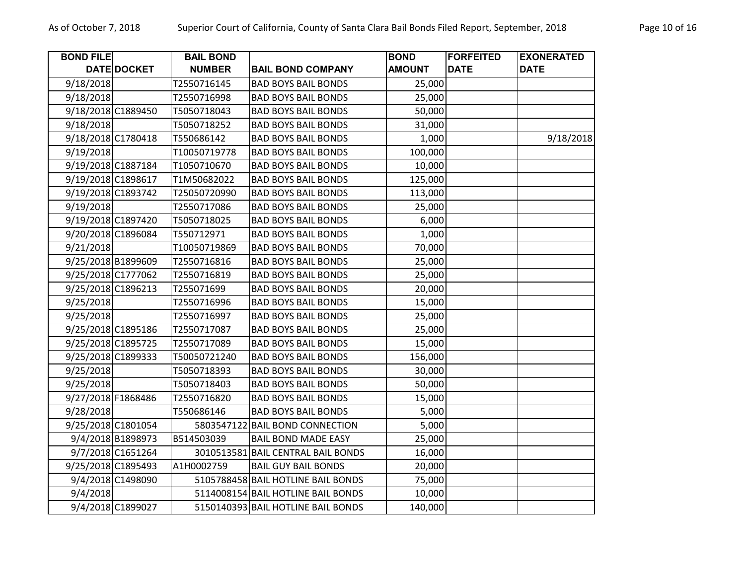| <b>BOND FILE</b>   |                    | <b>BAIL BOND</b> |                                    | <b>BOND</b>   | <b>FORFEITED</b> | <b>EXONERATED</b> |
|--------------------|--------------------|------------------|------------------------------------|---------------|------------------|-------------------|
|                    | DATE DOCKET        | <b>NUMBER</b>    | <b>BAIL BOND COMPANY</b>           | <b>AMOUNT</b> | <b>DATE</b>      | <b>DATE</b>       |
| 9/18/2018          |                    | T2550716145      | <b>BAD BOYS BAIL BONDS</b>         | 25,000        |                  |                   |
| 9/18/2018          |                    | T2550716998      | <b>BAD BOYS BAIL BONDS</b>         | 25,000        |                  |                   |
|                    | 9/18/2018 C1889450 | T5050718043      | <b>BAD BOYS BAIL BONDS</b>         | 50,000        |                  |                   |
| 9/18/2018          |                    | T5050718252      | <b>BAD BOYS BAIL BONDS</b>         | 31,000        |                  |                   |
|                    | 9/18/2018 C1780418 | T550686142       | <b>BAD BOYS BAIL BONDS</b>         | 1,000         |                  | 9/18/2018         |
| 9/19/2018          |                    | T10050719778     | <b>BAD BOYS BAIL BONDS</b>         | 100,000       |                  |                   |
| 9/19/2018 C1887184 |                    | T1050710670      | <b>BAD BOYS BAIL BONDS</b>         | 10,000        |                  |                   |
| 9/19/2018 C1898617 |                    | T1M50682022      | <b>BAD BOYS BAIL BONDS</b>         | 125,000       |                  |                   |
| 9/19/2018 C1893742 |                    | T25050720990     | <b>BAD BOYS BAIL BONDS</b>         | 113,000       |                  |                   |
| 9/19/2018          |                    | T2550717086      | <b>BAD BOYS BAIL BONDS</b>         | 25,000        |                  |                   |
|                    | 9/19/2018 C1897420 | T5050718025      | <b>BAD BOYS BAIL BONDS</b>         | 6,000         |                  |                   |
|                    | 9/20/2018 C1896084 | T550712971       | <b>BAD BOYS BAIL BONDS</b>         | 1,000         |                  |                   |
| 9/21/2018          |                    | T10050719869     | <b>BAD BOYS BAIL BONDS</b>         | 70,000        |                  |                   |
| 9/25/2018 B1899609 |                    | T2550716816      | <b>BAD BOYS BAIL BONDS</b>         | 25,000        |                  |                   |
|                    | 9/25/2018 C1777062 | T2550716819      | <b>BAD BOYS BAIL BONDS</b>         | 25,000        |                  |                   |
|                    | 9/25/2018 C1896213 | T255071699       | <b>BAD BOYS BAIL BONDS</b>         | 20,000        |                  |                   |
| 9/25/2018          |                    | T2550716996      | <b>BAD BOYS BAIL BONDS</b>         | 15,000        |                  |                   |
| 9/25/2018          |                    | T2550716997      | <b>BAD BOYS BAIL BONDS</b>         | 25,000        |                  |                   |
| 9/25/2018 C1895186 |                    | T2550717087      | <b>BAD BOYS BAIL BONDS</b>         | 25,000        |                  |                   |
|                    | 9/25/2018 C1895725 | T2550717089      | <b>BAD BOYS BAIL BONDS</b>         | 15,000        |                  |                   |
|                    | 9/25/2018 C1899333 | T50050721240     | <b>BAD BOYS BAIL BONDS</b>         | 156,000       |                  |                   |
| 9/25/2018          |                    | T5050718393      | <b>BAD BOYS BAIL BONDS</b>         | 30,000        |                  |                   |
| 9/25/2018          |                    | T5050718403      | <b>BAD BOYS BAIL BONDS</b>         | 50,000        |                  |                   |
| 9/27/2018 F1868486 |                    | T2550716820      | <b>BAD BOYS BAIL BONDS</b>         | 15,000        |                  |                   |
| 9/28/2018          |                    | T550686146       | <b>BAD BOYS BAIL BONDS</b>         | 5,000         |                  |                   |
|                    | 9/25/2018 C1801054 | 5803547122       | <b>BAIL BOND CONNECTION</b>        | 5,000         |                  |                   |
|                    | 9/4/2018 B1898973  | B514503039       | <b>BAIL BOND MADE EASY</b>         | 25,000        |                  |                   |
|                    | 9/7/2018 C1651264  |                  | 3010513581 BAIL CENTRAL BAIL BONDS | 16,000        |                  |                   |
|                    | 9/25/2018 C1895493 | A1H0002759       | <b>BAIL GUY BAIL BONDS</b>         | 20,000        |                  |                   |
|                    | 9/4/2018 C1498090  |                  | 5105788458 BAIL HOTLINE BAIL BONDS | 75,000        |                  |                   |
| 9/4/2018           |                    |                  | 5114008154 BAIL HOTLINE BAIL BONDS | 10,000        |                  |                   |
|                    | 9/4/2018 C1899027  |                  | 5150140393 BAIL HOTLINE BAIL BONDS | 140,000       |                  |                   |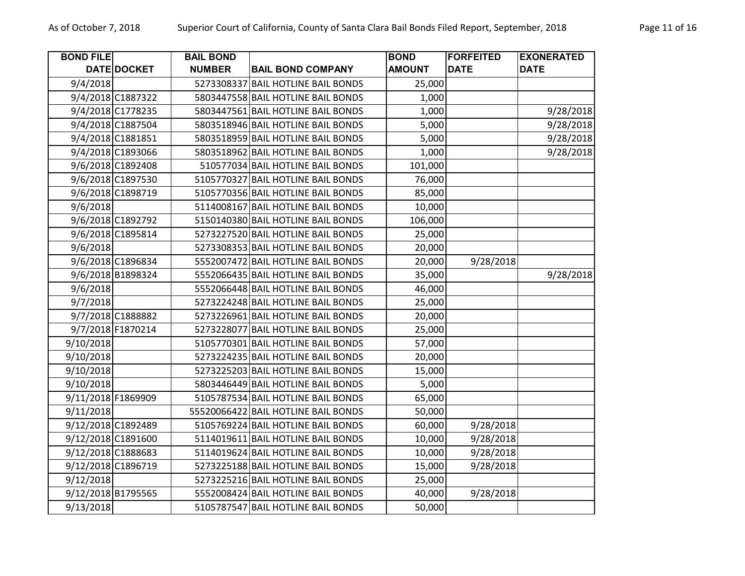| <b>BOND FILE</b>   |                   | <b>BAIL BOND</b> |                                     | <b>BOND</b>   | <b>FORFEITED</b> | <b>EXONERATED</b> |
|--------------------|-------------------|------------------|-------------------------------------|---------------|------------------|-------------------|
|                    | DATE DOCKET       | <b>NUMBER</b>    | <b>BAIL BOND COMPANY</b>            | <b>AMOUNT</b> | <b>DATE</b>      | <b>DATE</b>       |
| 9/4/2018           |                   | 5273308337       | <b>BAIL HOTLINE BAIL BONDS</b>      | 25,000        |                  |                   |
|                    | 9/4/2018 C1887322 |                  | 5803447558 BAIL HOTLINE BAIL BONDS  | 1,000         |                  |                   |
|                    | 9/4/2018 C1778235 |                  | 5803447561 BAIL HOTLINE BAIL BONDS  | 1,000         |                  | 9/28/2018         |
|                    | 9/4/2018 C1887504 |                  | 5803518946 BAIL HOTLINE BAIL BONDS  | 5,000         |                  | 9/28/2018         |
|                    | 9/4/2018 C1881851 |                  | 5803518959 BAIL HOTLINE BAIL BONDS  | 5,000         |                  | 9/28/2018         |
|                    | 9/4/2018 C1893066 |                  | 5803518962 BAIL HOTLINE BAIL BONDS  | 1,000         |                  | 9/28/2018         |
|                    | 9/6/2018 C1892408 |                  | 510577034 BAIL HOTLINE BAIL BONDS   | 101,000       |                  |                   |
|                    | 9/6/2018 C1897530 |                  | 5105770327 BAIL HOTLINE BAIL BONDS  | 76,000        |                  |                   |
|                    | 9/6/2018 C1898719 |                  | 5105770356 BAIL HOTLINE BAIL BONDS  | 85,000        |                  |                   |
| 9/6/2018           |                   |                  | 5114008167 BAIL HOTLINE BAIL BONDS  | 10,000        |                  |                   |
|                    | 9/6/2018 C1892792 |                  | 5150140380 BAIL HOTLINE BAIL BONDS  | 106,000       |                  |                   |
|                    | 9/6/2018 C1895814 |                  | 5273227520 BAIL HOTLINE BAIL BONDS  | 25,000        |                  |                   |
| 9/6/2018           |                   |                  | 5273308353 BAIL HOTLINE BAIL BONDS  | 20,000        |                  |                   |
|                    | 9/6/2018 C1896834 |                  | 5552007472 BAIL HOTLINE BAIL BONDS  | 20,000        | 9/28/2018        |                   |
|                    | 9/6/2018 B1898324 |                  | 5552066435 BAIL HOTLINE BAIL BONDS  | 35,000        |                  | 9/28/2018         |
| 9/6/2018           |                   |                  | 5552066448 BAIL HOTLINE BAIL BONDS  | 46,000        |                  |                   |
| 9/7/2018           |                   |                  | 5273224248 BAIL HOTLINE BAIL BONDS  | 25,000        |                  |                   |
|                    | 9/7/2018 C1888882 |                  | 5273226961 BAIL HOTLINE BAIL BONDS  | 20,000        |                  |                   |
|                    | 9/7/2018 F1870214 |                  | 5273228077 BAIL HOTLINE BAIL BONDS  | 25,000        |                  |                   |
| 9/10/2018          |                   |                  | 5105770301 BAIL HOTLINE BAIL BONDS  | 57,000        |                  |                   |
| 9/10/2018          |                   |                  | 5273224235 BAIL HOTLINE BAIL BONDS  | 20,000        |                  |                   |
| 9/10/2018          |                   |                  | 5273225203 BAIL HOTLINE BAIL BONDS  | 15,000        |                  |                   |
| 9/10/2018          |                   |                  | 5803446449 BAIL HOTLINE BAIL BONDS  | 5,000         |                  |                   |
| 9/11/2018 F1869909 |                   |                  | 5105787534 BAIL HOTLINE BAIL BONDS  | 65,000        |                  |                   |
| 9/11/2018          |                   |                  | 55520066422 BAIL HOTLINE BAIL BONDS | 50,000        |                  |                   |
| 9/12/2018 C1892489 |                   |                  | 5105769224 BAIL HOTLINE BAIL BONDS  | 60,000        | 9/28/2018        |                   |
| 9/12/2018 C1891600 |                   |                  | 5114019611 BAIL HOTLINE BAIL BONDS  | 10,000        | 9/28/2018        |                   |
| 9/12/2018 C1888683 |                   |                  | 5114019624 BAIL HOTLINE BAIL BONDS  | 10,000        | 9/28/2018        |                   |
| 9/12/2018 C1896719 |                   |                  | 5273225188 BAIL HOTLINE BAIL BONDS  | 15,000        | 9/28/2018        |                   |
| 9/12/2018          |                   |                  | 5273225216 BAIL HOTLINE BAIL BONDS  | 25,000        |                  |                   |
| 9/12/2018 B1795565 |                   |                  | 5552008424 BAIL HOTLINE BAIL BONDS  | 40,000        | 9/28/2018        |                   |
| 9/13/2018          |                   |                  | 5105787547 BAIL HOTLINE BAIL BONDS  | 50,000        |                  |                   |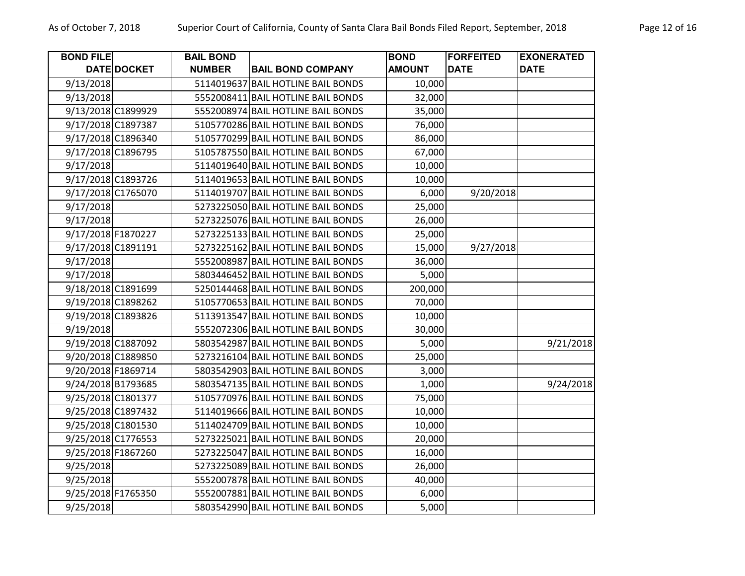| <b>BOND FILE</b>   |             | <b>BAIL BOND</b> |                                    | <b>BOND</b>   | <b>FORFEITED</b> | <b>EXONERATED</b> |
|--------------------|-------------|------------------|------------------------------------|---------------|------------------|-------------------|
|                    | DATE DOCKET | <b>NUMBER</b>    | <b>BAIL BOND COMPANY</b>           | <b>AMOUNT</b> | <b>DATE</b>      | <b>DATE</b>       |
| 9/13/2018          |             |                  | 5114019637 BAIL HOTLINE BAIL BONDS | 10,000        |                  |                   |
| 9/13/2018          |             |                  | 5552008411 BAIL HOTLINE BAIL BONDS | 32,000        |                  |                   |
| 9/13/2018 C1899929 |             |                  | 5552008974 BAIL HOTLINE BAIL BONDS | 35,000        |                  |                   |
| 9/17/2018 C1897387 |             |                  | 5105770286 BAIL HOTLINE BAIL BONDS | 76,000        |                  |                   |
| 9/17/2018 C1896340 |             |                  | 5105770299 BAIL HOTLINE BAIL BONDS | 86,000        |                  |                   |
| 9/17/2018 C1896795 |             |                  | 5105787550 BAIL HOTLINE BAIL BONDS | 67,000        |                  |                   |
| 9/17/2018          |             |                  | 5114019640 BAIL HOTLINE BAIL BONDS | 10,000        |                  |                   |
| 9/17/2018 C1893726 |             |                  | 5114019653 BAIL HOTLINE BAIL BONDS | 10,000        |                  |                   |
| 9/17/2018 C1765070 |             |                  | 5114019707 BAIL HOTLINE BAIL BONDS | 6,000         | 9/20/2018        |                   |
| 9/17/2018          |             |                  | 5273225050 BAIL HOTLINE BAIL BONDS | 25,000        |                  |                   |
| 9/17/2018          |             |                  | 5273225076 BAIL HOTLINE BAIL BONDS | 26,000        |                  |                   |
| 9/17/2018 F1870227 |             |                  | 5273225133 BAIL HOTLINE BAIL BONDS | 25,000        |                  |                   |
| 9/17/2018 C1891191 |             |                  | 5273225162 BAIL HOTLINE BAIL BONDS | 15,000        | 9/27/2018        |                   |
| 9/17/2018          |             |                  | 5552008987 BAIL HOTLINE BAIL BONDS | 36,000        |                  |                   |
| 9/17/2018          |             |                  | 5803446452 BAIL HOTLINE BAIL BONDS | 5,000         |                  |                   |
| 9/18/2018 C1891699 |             |                  | 5250144468 BAIL HOTLINE BAIL BONDS | 200,000       |                  |                   |
| 9/19/2018 C1898262 |             |                  | 5105770653 BAIL HOTLINE BAIL BONDS | 70,000        |                  |                   |
| 9/19/2018 C1893826 |             |                  | 5113913547 BAIL HOTLINE BAIL BONDS | 10,000        |                  |                   |
| 9/19/2018          |             |                  | 5552072306 BAIL HOTLINE BAIL BONDS | 30,000        |                  |                   |
| 9/19/2018 C1887092 |             |                  | 5803542987 BAIL HOTLINE BAIL BONDS | 5,000         |                  | 9/21/2018         |
| 9/20/2018 C1889850 |             |                  | 5273216104 BAIL HOTLINE BAIL BONDS | 25,000        |                  |                   |
| 9/20/2018 F1869714 |             |                  | 5803542903 BAIL HOTLINE BAIL BONDS | 3,000         |                  |                   |
| 9/24/2018 B1793685 |             |                  | 5803547135 BAIL HOTLINE BAIL BONDS | 1,000         |                  | 9/24/2018         |
| 9/25/2018 C1801377 |             |                  | 5105770976 BAIL HOTLINE BAIL BONDS | 75,000        |                  |                   |
| 9/25/2018 C1897432 |             |                  | 5114019666 BAIL HOTLINE BAIL BONDS | 10,000        |                  |                   |
| 9/25/2018 C1801530 |             |                  | 5114024709 BAIL HOTLINE BAIL BONDS | 10,000        |                  |                   |
| 9/25/2018 C1776553 |             |                  | 5273225021 BAIL HOTLINE BAIL BONDS | 20,000        |                  |                   |
| 9/25/2018 F1867260 |             |                  | 5273225047 BAIL HOTLINE BAIL BONDS | 16,000        |                  |                   |
| 9/25/2018          |             |                  | 5273225089 BAIL HOTLINE BAIL BONDS | 26,000        |                  |                   |
| 9/25/2018          |             |                  | 5552007878 BAIL HOTLINE BAIL BONDS | 40,000        |                  |                   |
| 9/25/2018 F1765350 |             |                  | 5552007881 BAIL HOTLINE BAIL BONDS | 6,000         |                  |                   |
| 9/25/2018          |             |                  | 5803542990 BAIL HOTLINE BAIL BONDS | 5,000         |                  |                   |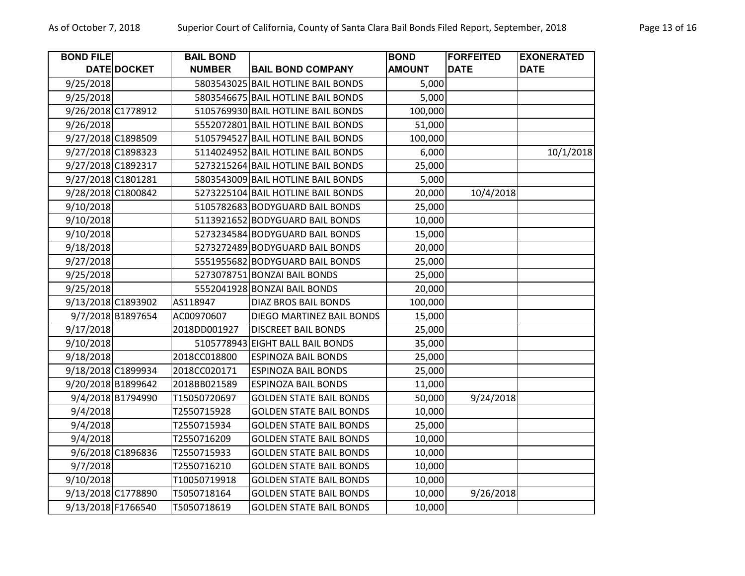| <b>BOND FILE</b>   | <b>DATE DOCKET</b> | <b>BAIL BOND</b><br><b>NUMBER</b> | <b>BAIL BOND COMPANY</b>           | <b>BOND</b><br><b>AMOUNT</b> | <b>FORFEITED</b><br><b>DATE</b> | <b>EXONERATED</b><br><b>DATE</b> |
|--------------------|--------------------|-----------------------------------|------------------------------------|------------------------------|---------------------------------|----------------------------------|
| 9/25/2018          |                    |                                   | 5803543025 BAIL HOTLINE BAIL BONDS | 5,000                        |                                 |                                  |
| 9/25/2018          |                    |                                   | 5803546675 BAIL HOTLINE BAIL BONDS | 5,000                        |                                 |                                  |
| 9/26/2018 C1778912 |                    |                                   | 5105769930 BAIL HOTLINE BAIL BONDS | 100,000                      |                                 |                                  |
| 9/26/2018          |                    |                                   | 5552072801 BAIL HOTLINE BAIL BONDS | 51,000                       |                                 |                                  |
| 9/27/2018 C1898509 |                    |                                   | 5105794527 BAIL HOTLINE BAIL BONDS | 100,000                      |                                 |                                  |
| 9/27/2018 C1898323 |                    |                                   | 5114024952 BAIL HOTLINE BAIL BONDS | 6,000                        |                                 | 10/1/2018                        |
| 9/27/2018 C1892317 |                    |                                   | 5273215264 BAIL HOTLINE BAIL BONDS | 25,000                       |                                 |                                  |
| 9/27/2018 C1801281 |                    |                                   | 5803543009 BAIL HOTLINE BAIL BONDS | 5,000                        |                                 |                                  |
| 9/28/2018 C1800842 |                    |                                   | 5273225104 BAIL HOTLINE BAIL BONDS | 20,000                       | 10/4/2018                       |                                  |
| 9/10/2018          |                    |                                   | 5105782683 BODYGUARD BAIL BONDS    | 25,000                       |                                 |                                  |
| 9/10/2018          |                    |                                   | 5113921652 BODYGUARD BAIL BONDS    | 10,000                       |                                 |                                  |
| 9/10/2018          |                    |                                   | 5273234584 BODYGUARD BAIL BONDS    | 15,000                       |                                 |                                  |
| 9/18/2018          |                    |                                   | 5273272489 BODYGUARD BAIL BONDS    | 20,000                       |                                 |                                  |
| 9/27/2018          |                    |                                   | 5551955682 BODYGUARD BAIL BONDS    | 25,000                       |                                 |                                  |
| 9/25/2018          |                    |                                   | 5273078751 BONZAI BAIL BONDS       | 25,000                       |                                 |                                  |
| 9/25/2018          |                    |                                   | 5552041928 BONZAI BAIL BONDS       | 20,000                       |                                 |                                  |
| 9/13/2018 C1893902 |                    | AS118947                          | <b>DIAZ BROS BAIL BONDS</b>        | 100,000                      |                                 |                                  |
|                    | 9/7/2018 B1897654  | AC00970607                        | DIEGO MARTINEZ BAIL BONDS          | 15,000                       |                                 |                                  |
| 9/17/2018          |                    | 2018DD001927                      | <b>DISCREET BAIL BONDS</b>         | 25,000                       |                                 |                                  |
| 9/10/2018          |                    |                                   | 5105778943 EIGHT BALL BAIL BONDS   | 35,000                       |                                 |                                  |
| 9/18/2018          |                    | 2018CC018800                      | <b>ESPINOZA BAIL BONDS</b>         | 25,000                       |                                 |                                  |
| 9/18/2018 C1899934 |                    | 2018CC020171                      | <b>ESPINOZA BAIL BONDS</b>         | 25,000                       |                                 |                                  |
| 9/20/2018 B1899642 |                    | 2018BB021589                      | <b>ESPINOZA BAIL BONDS</b>         | 11,000                       |                                 |                                  |
|                    | 9/4/2018 B1794990  | T15050720697                      | <b>GOLDEN STATE BAIL BONDS</b>     | 50,000                       | 9/24/2018                       |                                  |
| 9/4/2018           |                    | T2550715928                       | <b>GOLDEN STATE BAIL BONDS</b>     | 10,000                       |                                 |                                  |
| 9/4/2018           |                    | T2550715934                       | <b>GOLDEN STATE BAIL BONDS</b>     | 25,000                       |                                 |                                  |
| 9/4/2018           |                    | T2550716209                       | <b>GOLDEN STATE BAIL BONDS</b>     | 10,000                       |                                 |                                  |
|                    | 9/6/2018 C1896836  | T2550715933                       | <b>GOLDEN STATE BAIL BONDS</b>     | 10,000                       |                                 |                                  |
| 9/7/2018           |                    | T2550716210                       | <b>GOLDEN STATE BAIL BONDS</b>     | 10,000                       |                                 |                                  |
| 9/10/2018          |                    | T10050719918                      | <b>GOLDEN STATE BAIL BONDS</b>     | 10,000                       |                                 |                                  |
| 9/13/2018 C1778890 |                    | T5050718164                       | <b>GOLDEN STATE BAIL BONDS</b>     | 10,000                       | 9/26/2018                       |                                  |
| 9/13/2018 F1766540 |                    | T5050718619                       | <b>GOLDEN STATE BAIL BONDS</b>     | 10,000                       |                                 |                                  |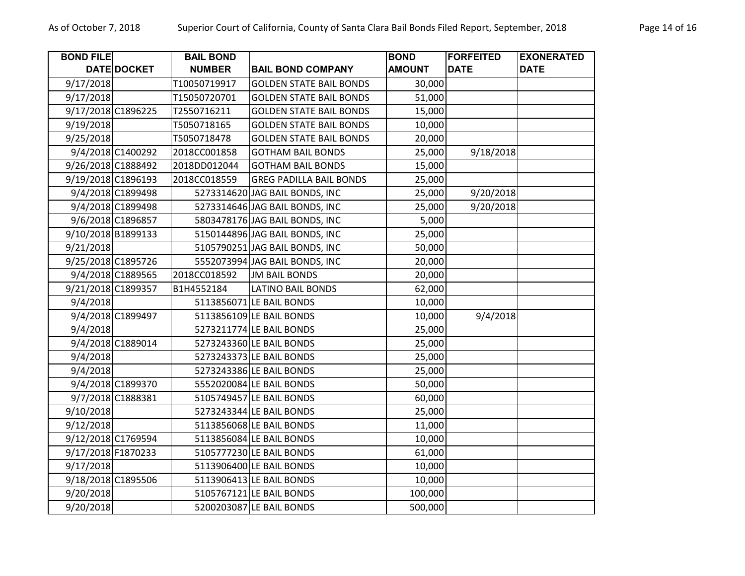| <b>BOND FILE</b>   |                    | <b>BAIL BOND</b> |                                | <b>BOND</b>   | <b>FORFEITED</b> | <b>EXONERATED</b> |
|--------------------|--------------------|------------------|--------------------------------|---------------|------------------|-------------------|
|                    | DATE DOCKET        | <b>NUMBER</b>    | <b>BAIL BOND COMPANY</b>       | <b>AMOUNT</b> | <b>DATE</b>      | <b>DATE</b>       |
| 9/17/2018          |                    | T10050719917     | <b>GOLDEN STATE BAIL BONDS</b> | 30,000        |                  |                   |
| 9/17/2018          |                    | T15050720701     | <b>GOLDEN STATE BAIL BONDS</b> | 51,000        |                  |                   |
| 9/17/2018 C1896225 |                    | T2550716211      | <b>GOLDEN STATE BAIL BONDS</b> | 15,000        |                  |                   |
| 9/19/2018          |                    | T5050718165      | <b>GOLDEN STATE BAIL BONDS</b> | 10,000        |                  |                   |
| 9/25/2018          |                    | T5050718478      | <b>GOLDEN STATE BAIL BONDS</b> | 20,000        |                  |                   |
|                    | 9/4/2018 C1400292  | 2018CC001858     | <b>GOTHAM BAIL BONDS</b>       | 25,000        | 9/18/2018        |                   |
| 9/26/2018 C1888492 |                    | 2018DD012044     | <b>GOTHAM BAIL BONDS</b>       | 15,000        |                  |                   |
| 9/19/2018 C1896193 |                    | 2018CC018559     | <b>GREG PADILLA BAIL BONDS</b> | 25,000        |                  |                   |
|                    | 9/4/2018 C1899498  |                  | 5273314620 JAG BAIL BONDS, INC | 25,000        | 9/20/2018        |                   |
|                    | 9/4/2018 C1899498  |                  | 5273314646 JAG BAIL BONDS, INC | 25,000        | 9/20/2018        |                   |
|                    | 9/6/2018 C1896857  |                  | 5803478176 JAG BAIL BONDS, INC | 5,000         |                  |                   |
|                    | 9/10/2018 B1899133 |                  | 5150144896 JAG BAIL BONDS, INC | 25,000        |                  |                   |
| 9/21/2018          |                    |                  | 5105790251 JAG BAIL BONDS, INC | 50,000        |                  |                   |
| 9/25/2018 C1895726 |                    |                  | 5552073994 JAG BAIL BONDS, INC | 20,000        |                  |                   |
|                    | 9/4/2018 C1889565  | 2018CC018592     | <b>JM BAIL BONDS</b>           | 20,000        |                  |                   |
|                    | 9/21/2018 C1899357 | B1H4552184       | <b>LATINO BAIL BONDS</b>       | 62,000        |                  |                   |
| 9/4/2018           |                    |                  | 5113856071 LE BAIL BONDS       | 10,000        |                  |                   |
|                    | 9/4/2018 C1899497  |                  | 5113856109 LE BAIL BONDS       | 10,000        | 9/4/2018         |                   |
| 9/4/2018           |                    |                  | 5273211774 LE BAIL BONDS       | 25,000        |                  |                   |
|                    | 9/4/2018 C1889014  |                  | 5273243360 LE BAIL BONDS       | 25,000        |                  |                   |
| 9/4/2018           |                    |                  | 5273243373 LE BAIL BONDS       | 25,000        |                  |                   |
| 9/4/2018           |                    |                  | 5273243386 LE BAIL BONDS       | 25,000        |                  |                   |
|                    | 9/4/2018 C1899370  |                  | 5552020084 LE BAIL BONDS       | 50,000        |                  |                   |
|                    | 9/7/2018 C1888381  |                  | 5105749457 LE BAIL BONDS       | 60,000        |                  |                   |
| 9/10/2018          |                    |                  | 5273243344 LE BAIL BONDS       | 25,000        |                  |                   |
| 9/12/2018          |                    |                  | 5113856068 LE BAIL BONDS       | 11,000        |                  |                   |
| 9/12/2018 C1769594 |                    |                  | 5113856084 LE BAIL BONDS       | 10,000        |                  |                   |
| 9/17/2018 F1870233 |                    |                  | 5105777230 LE BAIL BONDS       | 61,000        |                  |                   |
| 9/17/2018          |                    |                  | 5113906400 LE BAIL BONDS       | 10,000        |                  |                   |
| 9/18/2018 C1895506 |                    |                  | 5113906413 LE BAIL BONDS       | 10,000        |                  |                   |
| 9/20/2018          |                    |                  | 5105767121 LE BAIL BONDS       | 100,000       |                  |                   |
| 9/20/2018          |                    |                  | 5200203087 LE BAIL BONDS       | 500,000       |                  |                   |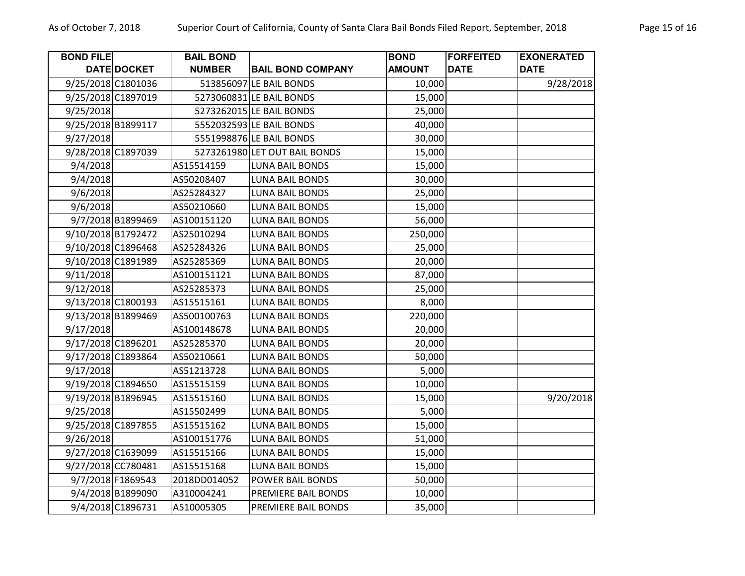| <b>BOND FILE</b> |                    | <b>BAIL BOND</b> |                               | <b>BOND</b>   | <b>FORFEITED</b> | <b>EXONERATED</b> |
|------------------|--------------------|------------------|-------------------------------|---------------|------------------|-------------------|
|                  | DATE DOCKET        | <b>NUMBER</b>    | <b>BAIL BOND COMPANY</b>      | <b>AMOUNT</b> | <b>DATE</b>      | <b>DATE</b>       |
|                  | 9/25/2018 C1801036 |                  | 513856097 LE BAIL BONDS       | 10,000        |                  | 9/28/2018         |
|                  | 9/25/2018 C1897019 |                  | 5273060831 LE BAIL BONDS      | 15,000        |                  |                   |
| 9/25/2018        |                    |                  | 5273262015 LE BAIL BONDS      | 25,000        |                  |                   |
|                  | 9/25/2018 B1899117 |                  | 5552032593 LE BAIL BONDS      | 40,000        |                  |                   |
| 9/27/2018        |                    |                  | 5551998876 LE BAIL BONDS      | 30,000        |                  |                   |
|                  | 9/28/2018 C1897039 |                  | 5273261980 LET OUT BAIL BONDS | 15,000        |                  |                   |
| 9/4/2018         |                    | AS15514159       | <b>LUNA BAIL BONDS</b>        | 15,000        |                  |                   |
| 9/4/2018         |                    | AS50208407       | <b>LUNA BAIL BONDS</b>        | 30,000        |                  |                   |
| 9/6/2018         |                    | AS25284327       | <b>LUNA BAIL BONDS</b>        | 25,000        |                  |                   |
| 9/6/2018         |                    | AS50210660       | <b>LUNA BAIL BONDS</b>        | 15,000        |                  |                   |
|                  | 9/7/2018 B1899469  | AS100151120      | <b>LUNA BAIL BONDS</b>        | 56,000        |                  |                   |
|                  | 9/10/2018 B1792472 | AS25010294       | <b>LUNA BAIL BONDS</b>        | 250,000       |                  |                   |
|                  | 9/10/2018 C1896468 | AS25284326       | <b>LUNA BAIL BONDS</b>        | 25,000        |                  |                   |
|                  | 9/10/2018 C1891989 | AS25285369       | <b>LUNA BAIL BONDS</b>        | 20,000        |                  |                   |
| 9/11/2018        |                    | AS100151121      | <b>LUNA BAIL BONDS</b>        | 87,000        |                  |                   |
| 9/12/2018        |                    | AS25285373       | <b>LUNA BAIL BONDS</b>        | 25,000        |                  |                   |
|                  | 9/13/2018 C1800193 | AS15515161       | <b>LUNA BAIL BONDS</b>        | 8,000         |                  |                   |
|                  | 9/13/2018 B1899469 | AS500100763      | <b>LUNA BAIL BONDS</b>        | 220,000       |                  |                   |
| 9/17/2018        |                    | AS100148678      | <b>LUNA BAIL BONDS</b>        | 20,000        |                  |                   |
|                  | 9/17/2018 C1896201 | AS25285370       | <b>LUNA BAIL BONDS</b>        | 20,000        |                  |                   |
|                  | 9/17/2018 C1893864 | AS50210661       | <b>LUNA BAIL BONDS</b>        | 50,000        |                  |                   |
| 9/17/2018        |                    | AS51213728       | <b>LUNA BAIL BONDS</b>        | 5,000         |                  |                   |
|                  | 9/19/2018 C1894650 | AS15515159       | <b>LUNA BAIL BONDS</b>        | 10,000        |                  |                   |
|                  | 9/19/2018 B1896945 | AS15515160       | <b>LUNA BAIL BONDS</b>        | 15,000        |                  | 9/20/2018         |
| 9/25/2018        |                    | AS15502499       | <b>LUNA BAIL BONDS</b>        | 5,000         |                  |                   |
|                  | 9/25/2018 C1897855 | AS15515162       | <b>LUNA BAIL BONDS</b>        | 15,000        |                  |                   |
| 9/26/2018        |                    | AS100151776      | <b>LUNA BAIL BONDS</b>        | 51,000        |                  |                   |
|                  | 9/27/2018 C1639099 | AS15515166       | <b>LUNA BAIL BONDS</b>        | 15,000        |                  |                   |
|                  | 9/27/2018 CC780481 | AS15515168       | <b>LUNA BAIL BONDS</b>        | 15,000        |                  |                   |
|                  | 9/7/2018 F1869543  | 2018DD014052     | POWER BAIL BONDS              | 50,000        |                  |                   |
|                  | 9/4/2018 B1899090  | A310004241       | PREMIERE BAIL BONDS           | 10,000        |                  |                   |
|                  | 9/4/2018 C1896731  | A510005305       | PREMIERE BAIL BONDS           | 35,000        |                  |                   |